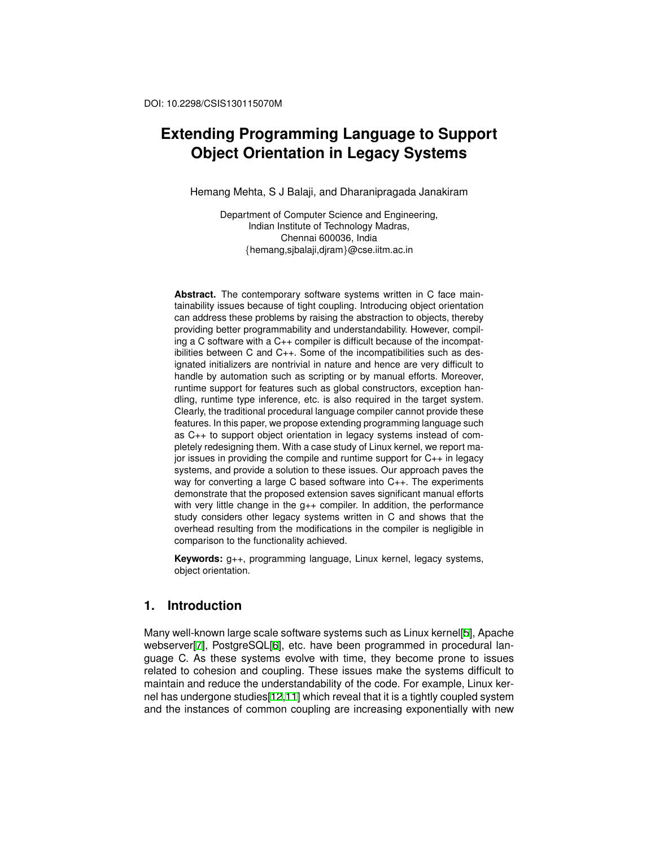# **Extending Programming Language to Support Object Orientation in Legacy Systems**

Hemang Mehta, S J Balaji, and Dharanipragada Janakiram

Department of Computer Science and Engineering, Indian Institute of Technology Madras, Chennai 600036, India *{*hemang,sjbalaji,djram*}*@cse.iitm.ac.in

**Abstract.** The contemporary software systems written in C face maintainability issues because of tight coupling. Introducing object orientation can address these problems by raising the abstraction to objects, thereby providing better programmability and understandability. However, compiling a C software with a C++ compiler is difficult because of the incompatibilities between C and C++. Some of the incompatibilities such as designated initializers are nontrivial in nature and hence are very difficult to handle by automation such as scripting or by manual efforts. Moreover, runtime support for features such as global constructors, exception handling, runtime type inference, etc. is also required in the target system. Clearly, the traditional procedural language compiler cannot provide these features. In this paper, we propose extending programming language such as C++ to support object orientation in legacy systems instead of completely redesigning them. With a case study of Linux kernel, we report major issues in providing the compile and runtime support for C++ in legacy systems, and provide a solution to these issues. Our approach paves the way for converting a large C based software into C++. The experiments demonstrate that the proposed extension saves significant manual efforts with very little change in the  $g_{++}$  compiler. In addition, the performance study considers other legacy systems written in C and shows that the overhead resulting from the modifications in the compiler is negligible in comparison to the functionality achieved.

**Keywords:** g++, programming language, Linux kernel, legacy systems, object orientation.

# **1. Introduction**

Many well-known large scale software systems such as Linux kernel[5], Apache webserver[7], PostgreSQL[6], etc. have been programmed in procedural language C. As these systems evolve with time, they become prone to issues related to cohesion and coupling. These issues make the systems difficult to maintain and reduce the understandability of the code. For example, Linux kernel has undergone studies[12,11] which reveal that it is a tightly coupled system and the instances of common coupling are increasing exponentially with new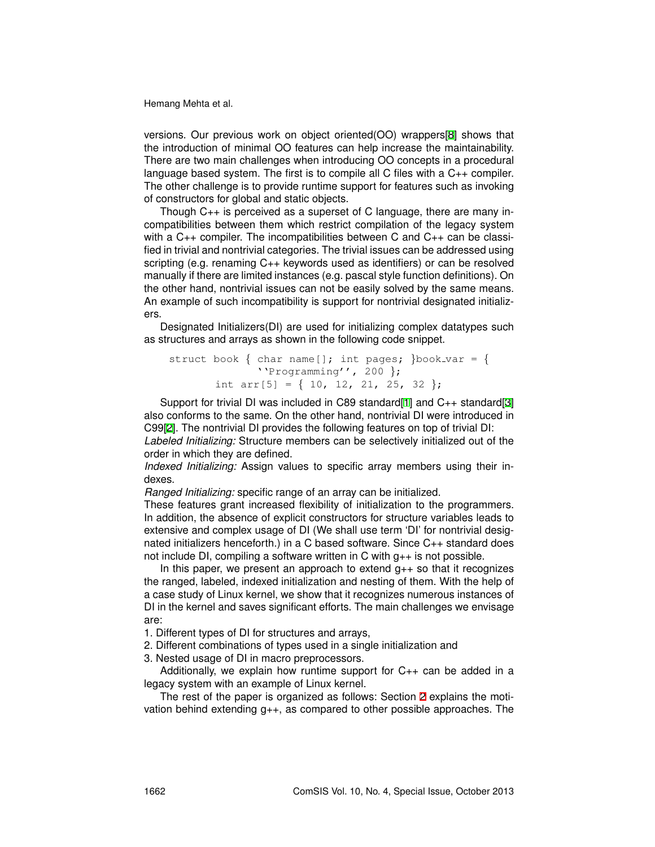versions. Our previous work on object oriented(OO) wrappers[8] shows that the introduction of minimal OO features can help increase the maintainability. There are two main challenges when introducing OO concepts in a procedural language based system. The first is to compile all C files with a C++ compiler. The other challenge is to provide runtime support for features such as invoking of constructors for global and static objects.

Though C++ is perceived as a superset of C language, there are many incompatibilities between them which restrict compilation of the legacy system with a C++ compiler. The incompatibilities between C and C++ can be classified in trivial and nontrivial categories. The trivial issues can be addressed using scripting (e.g. renaming C++ keywords used as identifiers) or can be resolved manually if there are limited instances (e.g. pascal style function definitions). On the other hand, nontrivial issues can not be easily solved by the same means. An example of such incompatibility is support for nontrivial designated initializers.

Designated Initializers(DI) are used for initializing complex datatypes such as structures and arrays as shown in the following code snippet.

```
struct book \{ char name[]; int pages; \}book_var = \{''Programming'', 200 };
       int arr[5] = { 10, 12, 21, 25, 32 };
```
Support for trivial DI was included in C89 standard[1] and C++ standard[3] also conforms to the same. On the other hand, nontrivial DI were introduced in C99[2]. The nontrivial DI provides the following features on top of trivial DI:

*Labeled Initializing:* Structure members can be selectively initialized out of the order in which they are defined.

*Indexed Initializing:* Assign values to specific array members using their indexes.

*Ranged Initializing:* specific range of an array can be initialized.

These features grant increased flexibility of initialization to the programmers. In addition, the absence of explicit constructors for structure variables leads to extensive and complex usage of DI (We shall use term 'DI' for nontrivial designated initializers henceforth.) in a C based software. Since C++ standard does not include DI, compiling a software written in C with g++ is not possible.

In this paper, we present an approach to extend  $q_{++}$  so that it recognizes the ranged, labeled, indexed initialization and nesting of them. With the help of a case study of Linux kernel, we show that it recognizes numerous instances of DI in the kernel and saves significant efforts. The main challenges we envisage are:

1. Different types of DI for structures and arrays,

2. Different combinations of types used in a single initialization and

3. Nested usage of DI in macro preprocessors.

Additionally, we explain how runtime support for  $C_{++}$  can be added in a legacy system with an example of Linux kernel.

The rest of the paper is organized as follows: Section 2 explains the motivation behind extending g++, as compared to other possible approaches. The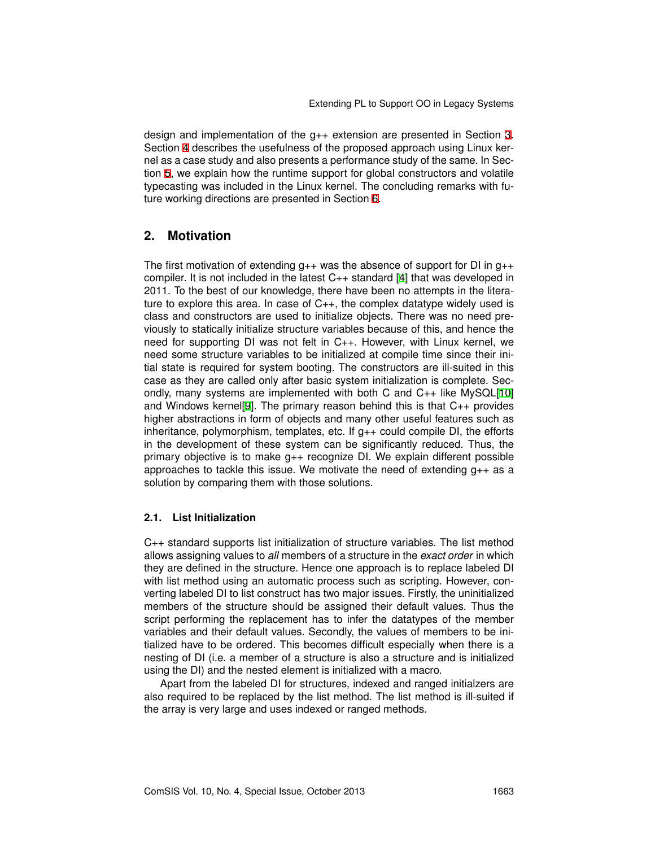design and implementation of the g++ extension are presented in Section 3. Section 4 describes the usefulness of the proposed approach using Linux kernel as a case study and also presents a performance study of the same. In Section 5, we explain how the runtime support for global constructors and volatile typecasting was included in the Linux kernel. The concluding remarks with future working directions are presented in Section 6.

# **2. Motivation**

The first motivation of extending  $q_{++}$  was the absence of support for DI in  $q_{++}$ compiler. It is not included in the latest C++ standard [4] that was developed in 2011. To the best of our knowledge, there have been no attempts in the literature to explore this area. In case of  $C_{++}$ , the complex datatype widely used is class and constructors are used to initialize objects. There was no need previously to statically initialize structure variables because of this, and hence the need for supporting DI was not felt in C++. However, with Linux kernel, we need some structure variables to be initialized at compile time since their initial state is required for system booting. The constructors are ill-suited in this case as they are called only after basic system initialization is complete. Secondly, many systems are implemented with both C and C++ like MySQL[10] and Windows kernel[9]. The primary reason behind this is that C++ provides higher abstractions in form of objects and many other useful features such as inheritance, polymorphism, templates, etc. If  $q_{++}$  could compile DI, the efforts in the development of these system can be significantly reduced. Thus, the primary objective is to make g++ recognize DI. We explain different possible approaches to tackle this issue. We motivate the need of extending  $g_{++}$  as a solution by comparing them with those solutions.

#### **2.1. List Initialization**

C++ standard supports list initialization of structure variables. The list method allows assigning values to *all* members of a structure in the *exact order* in which they are defined in the structure. Hence one approach is to replace labeled DI with list method using an automatic process such as scripting. However, converting labeled DI to list construct has two major issues. Firstly, the uninitialized members of the structure should be assigned their default values. Thus the script performing the replacement has to infer the datatypes of the member variables and their default values. Secondly, the values of members to be initialized have to be ordered. This becomes difficult especially when there is a nesting of DI (i.e. a member of a structure is also a structure and is initialized using the DI) and the nested element is initialized with a macro.

Apart from the labeled DI for structures, indexed and ranged initialzers are also required to be replaced by the list method. The list method is ill-suited if the array is very large and uses indexed or ranged methods.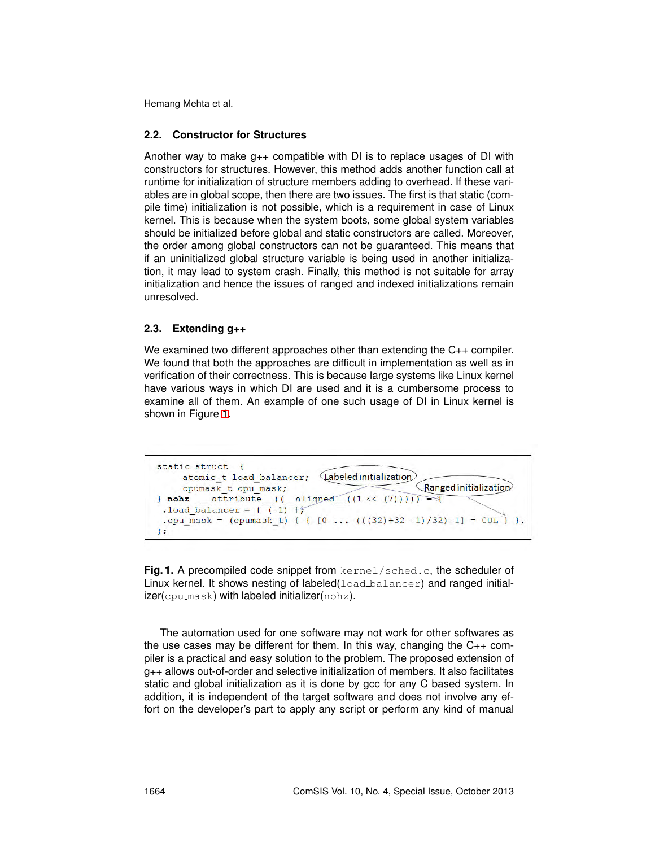#### **2.2. Constructor for Structures**

Another way to make  $q_{++}$  compatible with DI is to replace usages of DI with constructors for structures. However, this method adds another function call at runtime for initialization of structure members adding to overhead. If these variables are in global scope, then there are two issues. The first is that static (compile time) initialization is not possible, which is a requirement in case of Linux kernel. This is because when the system boots, some global system variables should be initialized before global and static constructors are called. Moreover, the order among global constructors can not be guaranteed. This means that if an uninitialized global structure variable is being used in another initialization, it may lead to system crash. Finally, this method is not suitable for array initialization and hence the issues of ranged and indexed initializations remain unresolved.

#### **2.3. Extending g++**

We examined two different approaches other than extending the C<sub>++</sub> compiler. We found that both the approaches are difficult in implementation as well as in verification of their correctness. This is because large systems like Linux kernel have various ways in which DI are used and it is a cumbersome process to examine all of them. An example of one such usage of DI in Linux kernel is shown in Figure 1.

```
static struct {
    atomic t load balancer; Labeled initialization
                                                 Ranged initialization
    cpumask t cpu mask;
} nohz __attribute_((_aligned_((1 << (7)))) = +
 .load_balancer = (-1) }
.cpu_mask = (cpumask_t) { { [0 \ldots (((32)+32-1)/32)-1] = 0UL } },
\mathcal{F}
```
**Fig. 1.** A precompiled code snippet from kernel/sched.c, the scheduler of Linux kernel. It shows nesting of labeled  $($ load balancer) and ranged initializer(cpu mask) with labeled initializer(nohz).

The automation used for one software may not work for other softwares as the use cases may be different for them. In this way, changing the  $C_{++}$  compiler is a practical and easy solution to the problem. The proposed extension of g++ allows out-of-order and selective initialization of members. It also facilitates static and global initialization as it is done by gcc for any C based system. In addition, it is independent of the target software and does not involve any effort on the developer's part to apply any script or perform any kind of manual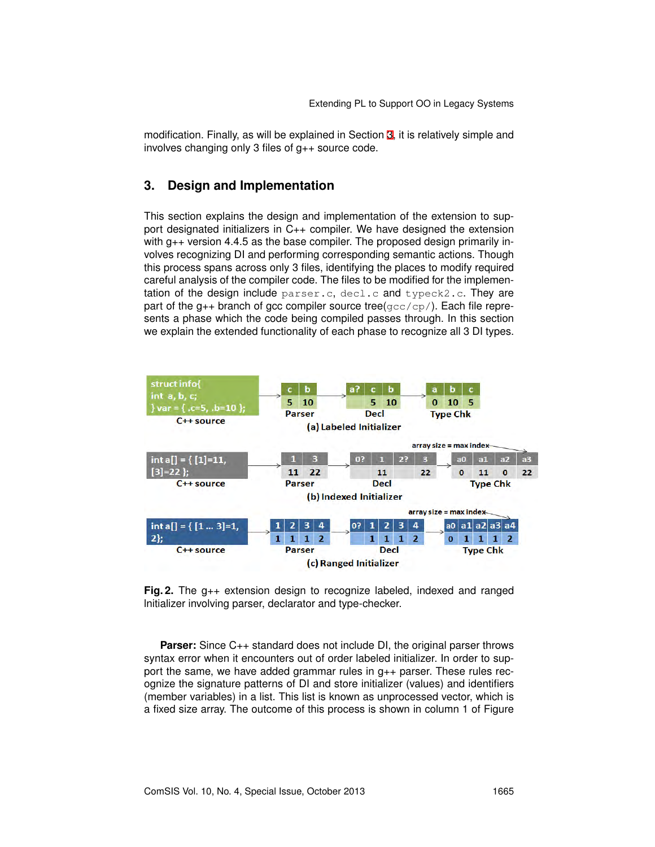modification. Finally, as will be explained in Section 3, it is relatively simple and involves changing only 3 files of g++ source code.

### **3. Design and Implementation**

This section explains the design and implementation of the extension to support designated initializers in C++ compiler. We have designed the extension with g++ version 4.4.5 as the base compiler. The proposed design primarily involves recognizing DI and performing corresponding semantic actions. Though this process spans across only 3 files, identifying the places to modify required careful analysis of the compiler code. The files to be modified for the implementation of the design include parser.c, decl.c and typeck2.c. They are part of the  $g_{++}$  branch of gcc compiler source tree( $gcc/cp/$ ). Each file represents a phase which the code being compiled passes through. In this section we explain the extended functionality of each phase to recognize all 3 DI types.



**Fig. 2.** The g++ extension design to recognize labeled, indexed and ranged lnitializer involving parser, declarator and type-checker.

**Parser:** Since C<sub>++</sub> standard does not include DI, the original parser throws syntax error when it encounters out of order labeled initializer. In order to support the same, we have added grammar rules in  $g++$  parser. These rules recognize the signature patterns of DI and store initializer (values) and identifiers (member variables) in a list. This list is known as unprocessed vector, which is a fixed size array. The outcome of this process is shown in column 1 of Figure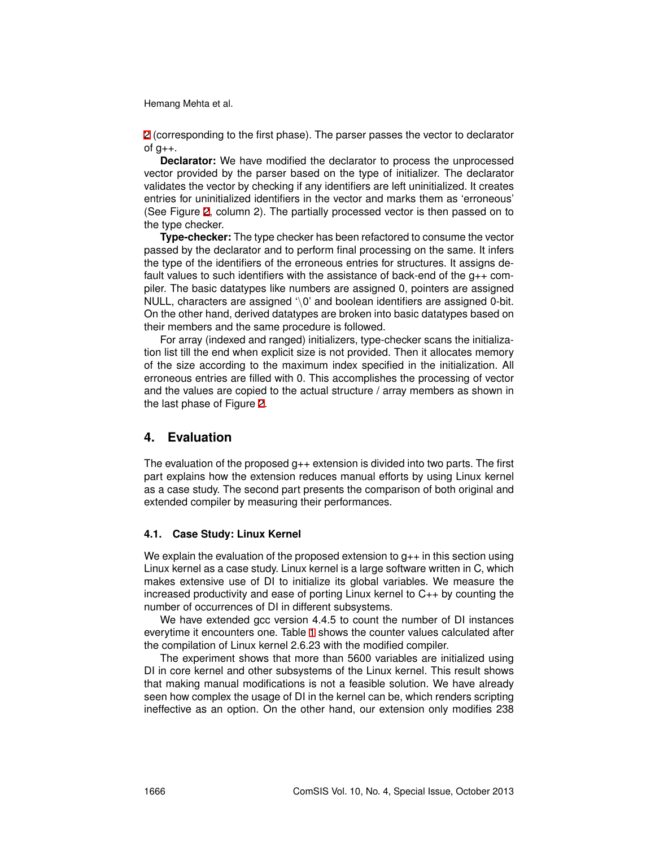2 (corresponding to the first phase). The parser passes the vector to declarator of  $g_{++}$ .

**Declarator:** We have modified the declarator to process the unprocessed vector provided by the parser based on the type of initializer. The declarator validates the vector by checking if any identifiers are left uninitialized. It creates entries for uninitialized identifiers in the vector and marks them as 'erroneous' (See Figure 2, column 2). The partially processed vector is then passed on to the type checker.

**Type-checker:** The type checker has been refactored to consume the vector passed by the declarator and to perform final processing on the same. It infers the type of the identifiers of the erroneous entries for structures. It assigns default values to such identifiers with the assistance of back-end of the g++ compiler. The basic datatypes like numbers are assigned 0, pointers are assigned NULL, characters are assigned '*\*0' and boolean identifiers are assigned 0-bit. On the other hand, derived datatypes are broken into basic datatypes based on their members and the same procedure is followed.

For array (indexed and ranged) initializers, type-checker scans the initialization list till the end when explicit size is not provided. Then it allocates memory of the size according to the maximum index specified in the initialization. All erroneous entries are filled with 0. This accomplishes the processing of vector and the values are copied to the actual structure / array members as shown in the last phase of Figure 2.

### **4. Evaluation**

The evaluation of the proposed  $g_{++}$  extension is divided into two parts. The first part explains how the extension reduces manual efforts by using Linux kernel as a case study. The second part presents the comparison of both original and extended compiler by measuring their performances.

#### **4.1. Case Study: Linux Kernel**

We explain the evaluation of the proposed extension to  $g_{++}$  in this section using Linux kernel as a case study. Linux kernel is a large software written in C, which makes extensive use of DI to initialize its global variables. We measure the increased productivity and ease of porting Linux kernel to C++ by counting the number of occurrences of DI in different subsystems.

We have extended gcc version 4.4.5 to count the number of DI instances everytime it encounters one. Table 1 shows the counter values calculated after the compilation of Linux kernel 2.6.23 with the modified compiler.

The experiment shows that more than 5600 variables are initialized using DI in core kernel and other subsystems of the Linux kernel. This result shows that making manual modifications is not a feasible solution. We have already seen how complex the usage of DI in the kernel can be, which renders scripting ineffective as an option. On the other hand, our extension only modifies 238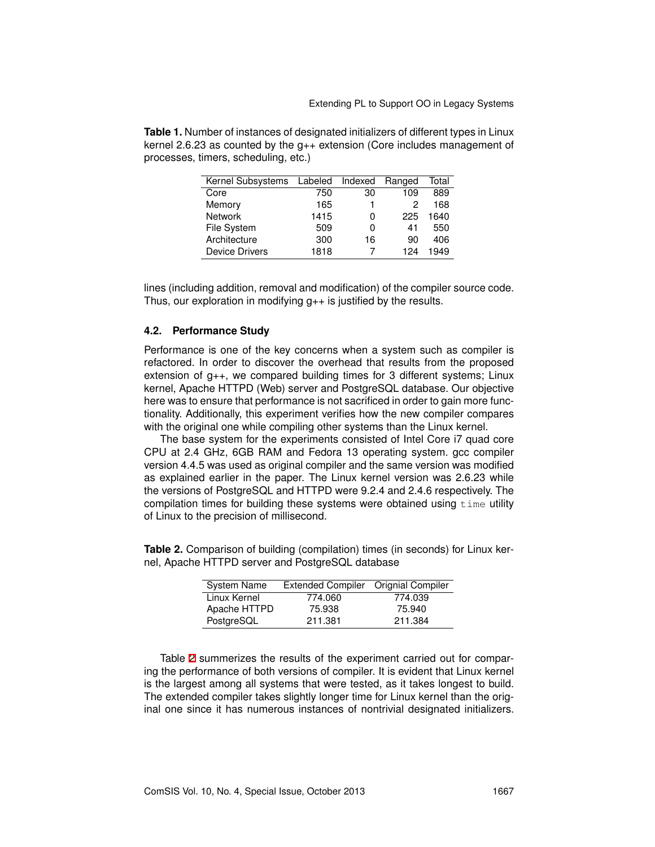| Kernel Subsystems     | Labeled | Indexed | Ranged | Total |
|-----------------------|---------|---------|--------|-------|
| Core                  | 750     | 30      | 109    | 889   |
| Memory                | 165     |         | 2      | 168   |
| <b>Network</b>        | 1415    | 0       | 225    | 1640  |
| File System           | 509     | 0       | 41     | 550   |
| Architecture          | 300     | 16      | 90     | 406   |
| <b>Device Drivers</b> | 1818    |         | 124    | 1949  |

**Table 1.** Number of instances of designated initializers of different types in Linux kernel 2.6.23 as counted by the g++ extension (Core includes management of processes, timers, scheduling, etc.)

lines (including addition, removal and modification) of the compiler source code. Thus, our exploration in modifying  $g++$  is justified by the results.

#### **4.2. Performance Study**

Performance is one of the key concerns when a system such as compiler is refactored. In order to discover the overhead that results from the proposed extension of g++, we compared building times for 3 different systems; Linux kernel, Apache HTTPD (Web) server and PostgreSQL database. Our objective here was to ensure that performance is not sacrificed in order to gain more functionality. Additionally, this experiment verifies how the new compiler compares with the original one while compiling other systems than the Linux kernel.

The base system for the experiments consisted of Intel Core i7 quad core CPU at 2.4 GHz, 6GB RAM and Fedora 13 operating system. gcc compiler version 4.4.5 was used as original compiler and the same version was modified as explained earlier in the paper. The Linux kernel version was 2.6.23 while the versions of PostgreSQL and HTTPD were 9.2.4 and 2.4.6 respectively. The compilation times for building these systems were obtained using  $t_1$  ime utility of Linux to the precision of millisecond.

nel, Apache HTTPD server and PostgreSQL database

**Table 2.** Comparison of building (compilation) times (in seconds) for Linux ker-

| Extended Compiler Orignial Compiler |         |  |
|-------------------------------------|---------|--|
| 774.060                             | 774.039 |  |
| 75.938                              | 75.940  |  |
| 211.381                             | 211.384 |  |
|                                     |         |  |

Table 2 summerizes the results of the experiment carried out for comparing the performance of both versions of compiler. It is evident that Linux kernel is the largest among all systems that were tested, as it takes longest to build. The extended compiler takes slightly longer time for Linux kernel than the original one since it has numerous instances of nontrivial designated initializers.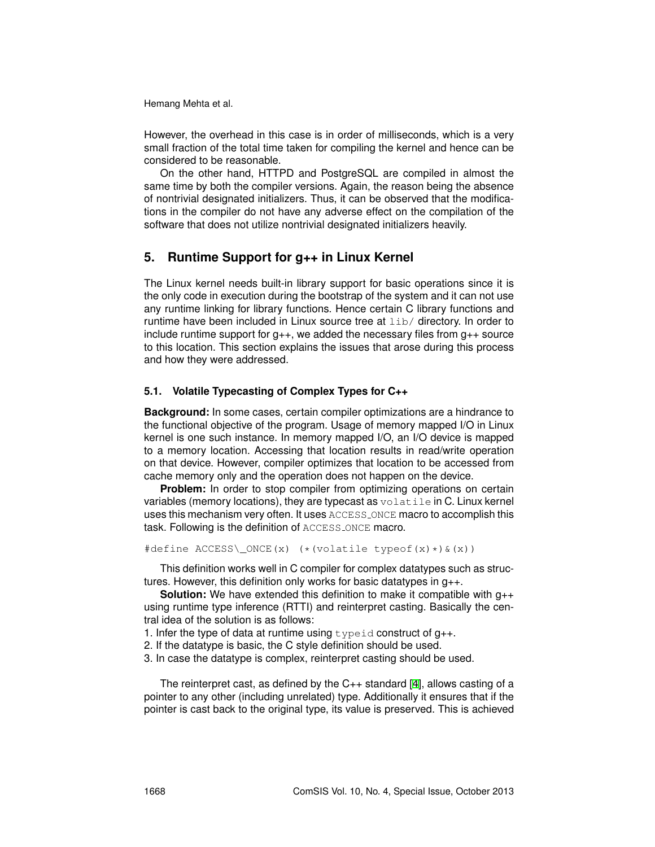However, the overhead in this case is in order of milliseconds, which is a very small fraction of the total time taken for compiling the kernel and hence can be considered to be reasonable.

On the other hand, HTTPD and PostgreSQL are compiled in almost the same time by both the compiler versions. Again, the reason being the absence of nontrivial designated initializers. Thus, it can be observed that the modifications in the compiler do not have any adverse effect on the compilation of the software that does not utilize nontrivial designated initializers heavily.

# **5. Runtime Support for g++ in Linux Kernel**

The Linux kernel needs built-in library support for basic operations since it is the only code in execution during the bootstrap of the system and it can not use any runtime linking for library functions. Hence certain C library functions and runtime have been included in Linux source tree at lib/ directory. In order to include runtime support for  $g_{++}$ , we added the necessary files from  $g_{++}$  source to this location. This section explains the issues that arose during this process and how they were addressed.

### **5.1. Volatile Typecasting of Complex Types for C++**

**Background:** In some cases, certain compiler optimizations are a hindrance to the functional objective of the program. Usage of memory mapped I/O in Linux kernel is one such instance. In memory mapped I/O, an I/O device is mapped to a memory location. Accessing that location results in read/write operation on that device. However, compiler optimizes that location to be accessed from cache memory only and the operation does not happen on the device.

**Problem:** In order to stop compiler from optimizing operations on certain variables (memory locations), they are typecast as volatile in C. Linux kernel uses this mechanism very often. It uses ACCESS ONCE macro to accomplish this task. Following is the definition of ACCESS ONCE macro.

```
#define ACCESS\_ONCE(x) (*(volatile typeof(x)*)&(x))
```
This definition works well in C compiler for complex datatypes such as structures. However, this definition only works for basic datatypes in g++.

**Solution:** We have extended this definition to make it compatible with g++ using runtime type inference (RTTI) and reinterpret casting. Basically the central idea of the solution is as follows:

- 1. Infer the type of data at runtime using typeid construct of  $g_{++}$ .
- 2. If the datatype is basic, the C style definition should be used.
- 3. In case the datatype is complex, reinterpret casting should be used.

The reinterpret cast, as defined by the C++ standard [4], allows casting of a pointer to any other (including unrelated) type. Additionally it ensures that if the pointer is cast back to the original type, its value is preserved. This is achieved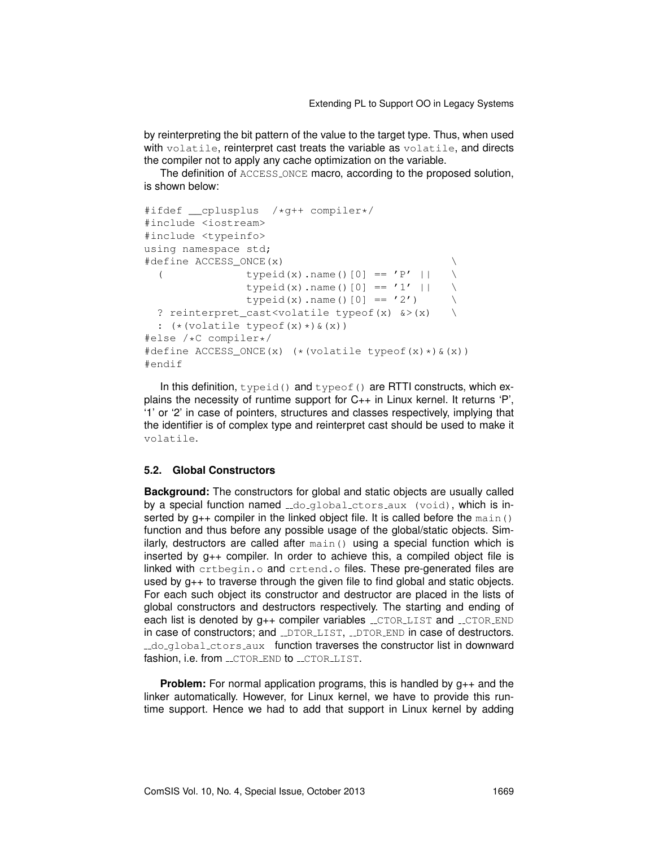by reinterpreting the bit pattern of the value to the target type. Thus, when used with volatile, reinterpret cast treats the variable as volatile, and directs the compiler not to apply any cache optimization on the variable.

The definition of ACCESS ONCE macro, according to the proposed solution, is shown below:

```
#ifdef __cplusplus /*g++ compiler*/
#include <iostream>
#include <typeinfo>
using namespace std;
#define ACCESS ONCE(x)
 ( typeid(x).name()[0] == 'P' || \setminustypeid(x).name()[0] == '1' || \
              typeid(x).name()[0] == '2')
 ? reinterpret_cast<volatile typeof(x) &>(x) \
 : (* (volationile type of(x) *) & (x))#else /*C compiler*/
#define ACCESS_ONCE(x) (*(volatile typeof(x)*)&(x))
#endif
```
In this definition, typeid() and typeof() are RTTI constructs, which explains the necessity of runtime support for C++ in Linux kernel. It returns 'P', '1' or '2' in case of pointers, structures and classes respectively, implying that the identifier is of complex type and reinterpret cast should be used to make it volatile.

### **5.2. Global Constructors**

**Background:** The constructors for global and static objects are usually called by a special function named  $\text{Id}_2$  do global ctors aux (void), which is inserted by  $g++$  compiler in the linked object file. It is called before the main() function and thus before any possible usage of the global/static objects. Similarly, destructors are called after main() using a special function which is inserted by g++ compiler. In order to achieve this, a compiled object file is linked with crtbegin.o and crtend.o files. These pre-generated files are used by  $g_{++}$  to traverse through the given file to find global and static objects. For each such object its constructor and destructor are placed in the lists of global constructors and destructors respectively. The starting and ending of each list is denoted by  $g_{++}$  compiler variables  $\_CTOR\_LIST$  and  $\_CTOR\_END$ in case of constructors; and LDTORLLIST, LDTOR END in case of destructors. ..do.global.ctors.aux function traverses the constructor list in downward fashion, i.e. from \_\_CTOR\_END to \_\_CTOR\_LIST.

**Problem:** For normal application programs, this is handled by  $q_{++}$  and the linker automatically. However, for Linux kernel, we have to provide this runtime support. Hence we had to add that support in Linux kernel by adding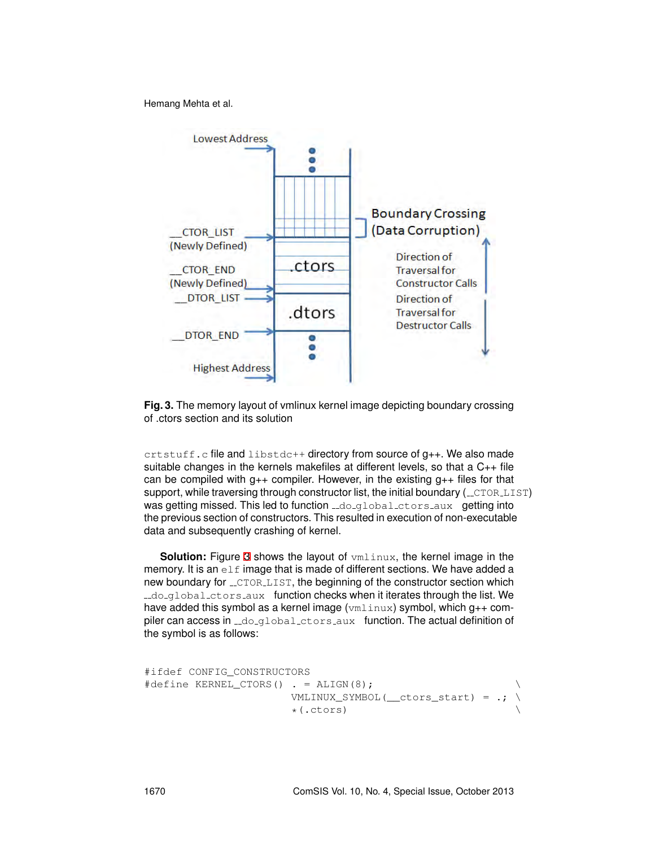

**Fig. 3.** The memory layout of vmlinux kernel image depicting boundary crossing of .ctors section and its solution

 ${\sf crstuff.c}$  file and libstdc++ directory from source of  $g_{++}$ . We also made suitable changes in the kernels makefiles at different levels, so that a C++ file can be compiled with  $q_{++}$  compiler. However, in the existing  $q_{++}$  files for that support, while traversing through constructor list, the initial boundary  $($ \_ $\text{CTOR}$ \_ $\text{LIST})$ was getting missed. This led to function  $\text{Id}_Q$  denoted  $\text{Id}_Q$  and  $\text{Id}_Q$  into the previous section of constructors. This resulted in execution of non-executable data and subsequently crashing of kernel.

**Solution:** Figure 3 shows the layout of  $vmlinux$ , the kernel image in the memory. It is an  $e \perp f$  image that is made of different sections. We have added a new boundary for  $\_ \text{CTOR}\_ \text{LIST}$ , the beginning of the constructor section which ..do global ctors aux function checks when it iterates through the list. We have added this symbol as a kernel image (vmlinux) symbol, which  $q_{++}$  compiler can access in  $\text{Id}_q$   $\text{Id}_q$   $\text{Id}_q$   $\text{Id}_q$  aux function. The actual definition of the symbol is as follows:

```
#ifdef CONFIG_CONSTRUCTORS
#define KERNEL CTORS() . = ALIGN(8);
                       VMLINUX SYMBOL( ctors start) = :*(.ctors) \
```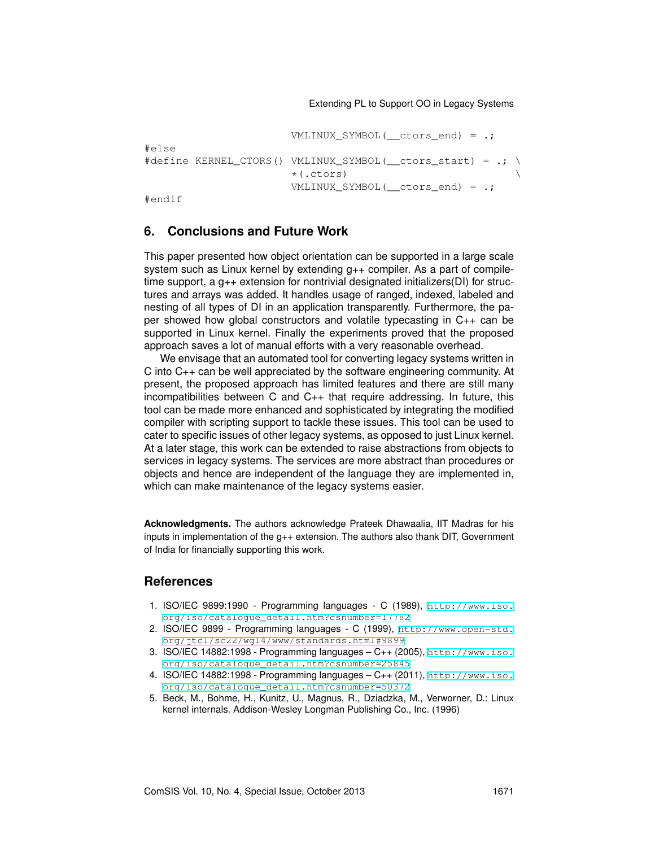```
VMLINUX SYMBOL( ctors end) = .;
#else
#define KERNEL CTORS() VMLINUX SYMBOL( ctors start) = .; \
                       *(.ctors) \
                       VMLINUX_SYMBOL(__ctors_end) = .;
```
#endif

# **6. Conclusions and Future Work**

This paper presented how object orientation can be supported in a large scale system such as Linux kernel by extending g++ compiler. As a part of compiletime support, a g++ extension for nontrivial designated initializers(DI) for structures and arrays was added. It handles usage of ranged, indexed, labeled and nesting of all types of DI in an application transparently. Furthermore, the paper showed how global constructors and volatile typecasting in C++ can be supported in Linux kernel. Finally the experiments proved that the proposed approach saves a lot of manual efforts with a very reasonable overhead.

We envisage that an automated tool for converting legacy systems written in C into C++ can be well appreciated by the software engineering community. At present, the proposed approach has limited features and there are still many incompatibilities between C and C++ that require addressing. In future, this tool can be made more enhanced and sophisticated by integrating the modified compiler with scripting support to tackle these issues. This tool can be used to cater to specific issues of other legacy systems, as opposed to just Linux kernel. At a later stage, this work can be extended to raise abstractions from objects to services in legacy systems. The services are more abstract than procedures or objects and hence are independent of the language they are implemented in, which can make maintenance of the legacy systems easier.

**Acknowledgments.** The authors acknowledge Prateek Dhawaalia, IIT Madras for his inputs in implementation of the g++ extension. The authors also thank DIT, Government of India for financially supporting this work.

### **References**

- 1. ISO/IEC 9899:1990 Programming languages C (1989), [http://www.iso.](http://www.iso.org/iso/catalogue_detail.htm?csnumber=17782) [org/iso/catalogue\\_detail.htm?csnumber=17782](http://www.iso.org/iso/catalogue_detail.htm?csnumber=17782)
- 2. ISO/IEC 9899 Programming languages C (1999), [http://www.open-std.](http://www.open-std.org/jtc1/sc22/wg14/www/standards.html#9899) [org/jtc1/sc22/wg14/www/standards.html#9899](http://www.open-std.org/jtc1/sc22/wg14/www/standards.html#9899)
- 3. ISO/IEC 14882:1998 Programming languages C++ (2005), [http://www.iso.](http://www.iso.org/iso/catalogue_detail.htm?csnumber=25845) [org/iso/catalogue\\_detail.htm?csnumber=25845](http://www.iso.org/iso/catalogue_detail.htm?csnumber=25845)
- 4. ISO/IEC 14882:1998 Programming languages C++ (2011), [http://www.iso.](http://www.iso.org/iso/catalogue_detail.htm?csnumber=50372) [org/iso/catalogue\\_detail.htm?csnumber=50372](http://www.iso.org/iso/catalogue_detail.htm?csnumber=50372)
- 5. Beck, M., Bohme, H., Kunitz, U., Magnus, R., Dziadzka, M., Verworner, D.: Linux kernel internals. Addison-Wesley Longman Publishing Co., Inc. (1996)